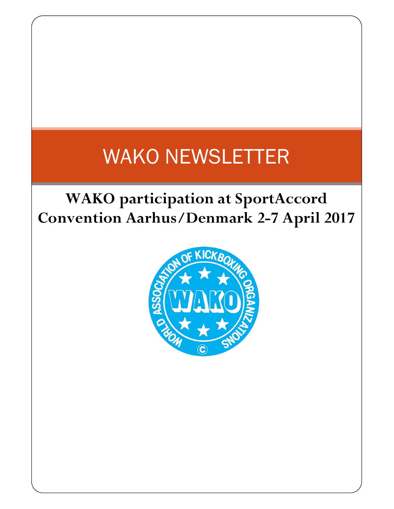# WAKO NEWSLETTER

## WAKO participation at SportAccord Convention Aarhus/Denmark 2-7 April 2017

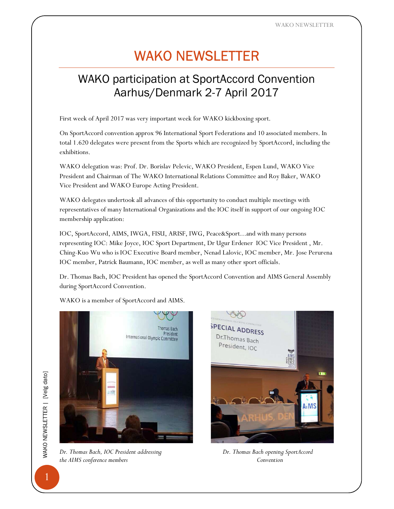WAKO NEWSLETTER

## WAKO NEWSLETTER

### WAKO participation at SportAccord Convention Aarhus/Denmark 2-7 April 2017

First week of April 2017 was very important week for WAKO kickboxing sport.

On SportAccord convention approx 96 International Sport Federations and 10 associated members. In total 1.620 delegates were present from the Sports which are recognized by SportAccord, including the exhibitions.

WAKO delegation was: Prof. Dr. Borislav Pelevic, WAKO President, Espen Lund, WAKO Vice President and Chairman of The WAKO International Relations Committee and Roy Baker, WAKO Vice President and WAKO Europe Acting President.

WAKO delegates undertook all advances of this opportunity to conduct multiple meetings with representatives of many International Organizations and the IOC itself in support of our ongoing IOC membership application:

IOC, SportAccord, AIMS, IWGA, FISU, ARISF, IWG, Peace&Sport...and with many persons representing IOC: Mike Joyce, IOC Sport Department, Dr Ugur Erdener IOC Vice President , Mr. Ching-Kuo Wu who is IOC Executive Board member, Nenad Lalovic, IOC member, Mr. Jose Perurena IOC member, Patrick Baumann, IOC member, as well as many other sport officials.

Dr. Thomas Bach, IOC President has opened the SportAccord Convention and AIMS General Assembly during SportAccord Convention.

WAKO is a member of SportAccord and AIMS.



Dr. Thomas Bach, IOC President addressing Dr. Thomas Bach opening SportAccord the AIMS conference members Convention

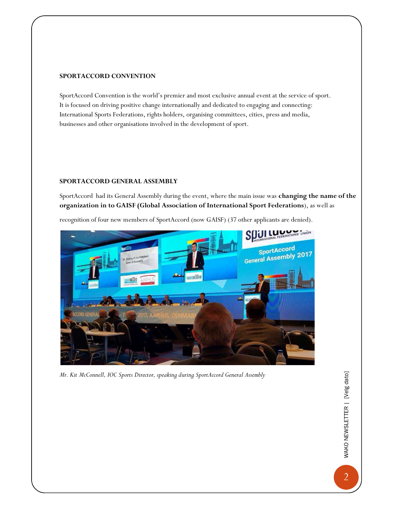#### SPORTACCORD CONVENTION

SportAccord Convention is the world's premier and most exclusive annual event at the service of sport. It is focused on driving positive change internationally and dedicated to engaging and connecting: International Sports Federations, rights holders, organising committees, cities, press and media, businesses and other organisations involved in the development of sport.

#### SPORTACCORD GENERAL ASSEMBLY

SportAccord had its General Assembly during the event, where the main issue was changing the name of the organization in to GAISF (Global Association of International Sport Federations), as well as





Mr. Kit McConnell, IOC Sports Director, speaking during SportAccord General Assembly

2 WAKO NEWSLETTER | [Velg dato]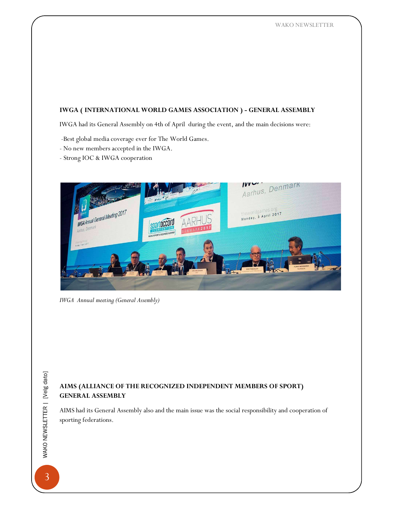#### IWGA ( INTERNATIONAL WORLD GAMES ASSOCIATION ) - GENERAL ASSEMBLY

IWGA had its General Assembly on 4th of April during the event, and the main decisions were:

- -Best global media coverage ever for The World Games.
- No new members accepted in the IWGA.
- Strong IOC & IWGA cooperation



IWGA Annual meeting (General Assembly)

# THE MUSS CONTRAL AS<br>  $\frac{25}{20}$  AIMS (ALLIA<br>
GENERAL AS<br>
AIMS had its Go<br>
sporting federal<br>
SOMERS AIMS (ALLIANCE OF THE RECOGNIZED INDEPENDENT MEMBERS OF SPORT) GENERAL ASSEMBLY

AIMS had its General Assembly also and the main issue was the social responsibility and cooperation of sporting federations.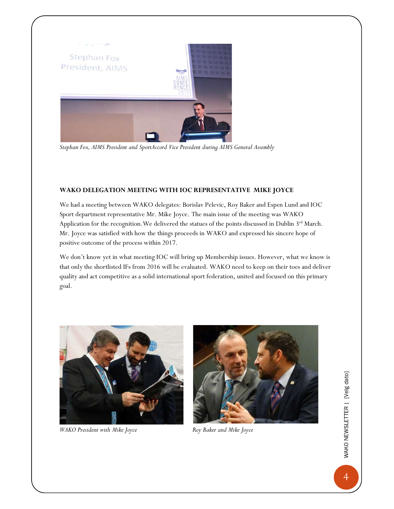

Stephan Fox, AIMS President and SportAccord Vice President during AIMS General Assembly

#### WAKO DELEGATION MEETING WITH IOC REPRESENTATIVE MIKE JOYCE

We had a meeting between WAKO delegates: Borislav Pelevic, Roy Baker and Espen Lund and IOC Sport department representative Mr. Mike Joyce. The main issue of the meeting was WAKO Application for the recognition. We delivered the statues of the points discussed in Dublin 3<sup>rd</sup> March. Mr. Joyce was satisfied with how the things proceeds in WAKO and expressed his sincere hope of positive outcome of the process within 2017.

We don't know yet in what meeting IOC will bring up Membership issues. However, what we know is that only the shortlisted IFs from 2016 will be evaluated. WAKO need to keep on their toes and deliver quality and act competitive as a solid international sport federation, united and focused on this primary goal.



WAKO President with Mike Joyce **Roy Baker and Mike Joyce** 



4 WAKO NEWSLETTER | [Velg dato]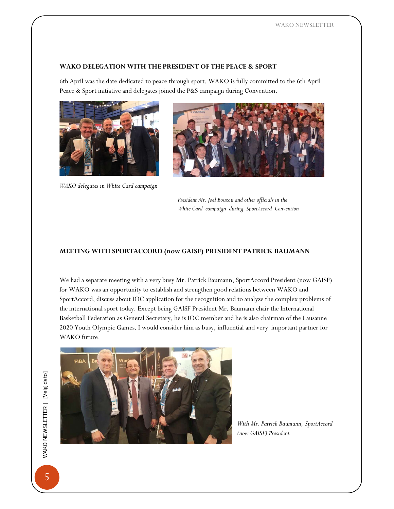#### WAKO DELEGATION WITH THE PRESIDENT OF THE PEACE & SPORT

6th April was the date dedicated to peace through sport. WAKO is fully committed to the 6th April Peace & Sport initiative and delegates joined the P&S campaign during Convention.



WAKO delegates in White Card campaign



President Mr. Joel Bouzou and other officials in the White Card campaign during SportAccord Convention

#### MEETING WITH SPORTACCORD (now GAISF) PRESIDENT PATRICK BAUMANN

We had a separate meeting with a very busy Mr. Patrick Baumann, SportAccord President (now GAISF) for WAKO was an opportunity to establish and strengthen good relations between WAKO and SportAccord, discuss about IOC application for the recognition and to analyze the complex problems of the international sport today. Except being GAISF President Mr. Baumann chair the International Basketball Federation as General Secretary, he is IOC member and he is also chairman of the Lausanne 2020 Youth Olympic Games. I would consider him as busy, influential and very important partner for WAKO future.



With Mr. Patrick Baumann, SportAccord (now GAISF) President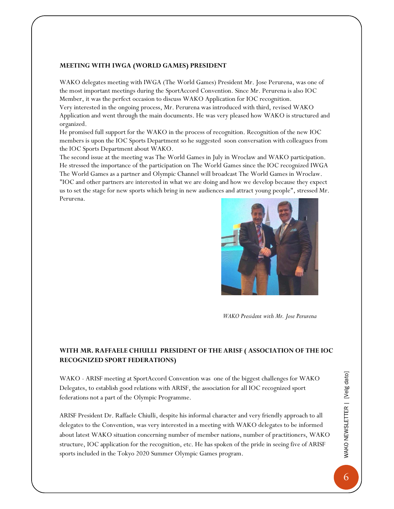#### MEETING WITH IWGA (WORLD GAMES) PRESIDENT

WAKO delegates meeting with IWGA (The World Games) President Mr. Jose Perurena, was one of the most important meetings during the SportAccord Convention. Since Mr. Perurena is also IOC Member, it was the perfect occasion to discuss WAKO Application for IOC recognition. Very interested in the ongoing process, Mr. Perurena was introduced with third, revised WAKO Application and went through the main documents. He was very pleased how WAKO is structured and organized.

He promised full support for the WAKO in the process of recognition. Recognition of the new IOC members is upon the IOC Sports Department so he suggested soon conversation with colleagues from the IOC Sports Department about WAKO.

The second issue at the meeting was The World Games in July in Wroclaw and WAKO participation. He stressed the importance of the participation on The World Games since the IOC recognized IWGA The World Games as a partner and Olympic Channel will broadcast The World Games in Wroclaw. "IOC and other partners are interested in what we are doing and how we develop because they expect us to set the stage for new sports which bring in new audiences and attract young people", stressed Mr. Perurena.



WAKO President with Mr. Jose Perurena

#### WITH MR. RAFFAELE CHIULLI PRESIDENT OF THE ARISF ( ASSOCIATION OF THE IOC RECOGNIZED SPORT FEDERATIONS)

WAKO - ARISF meeting at SportAccord Convention was one of the biggest challenges for WAKO Delegates, to establish good relations with ARISF, the association for all IOC recognized sport federations not a part of the Olympic Programme.

ARISF President Dr. Raffaele Chiulli, despite his informal character and very friendly approach to all delegates to the Convention, was very interested in a meeting with WAKO delegates to be informed about latest WAKO situation concerning number of member nations, number of practitioners, WAKO structure, IOC application for the recognition, etc. He has spoken of the pride in seeing five of ARISF sports included in the Tokyo 2020 Summer Olympic Games program.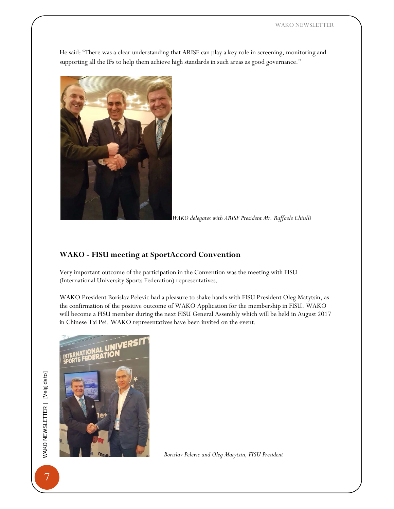He said: "There was a clear understanding that ARISF can play a key role in screening, monitoring and supporting all the IFs to help them achieve high standards in such areas as good governance."



WAKO delegates with ARISF President Mr. Raffaele Chiulli

#### WAKO - FISU meeting at SportAccord Convention

Very important outcome of the participation in the Convention was the meeting with FISU (International University Sports Federation) representatives.

WAKO President Borislav Pelevic had a pleasure to shake hands with FISU President Oleg Matytsin, as the confirmation of the positive outcome of WAKO Application for the membership in FISU. WAKO will become a FISU member during the next FISU General Assembly which will be held in August 2017 in Chinese Tai Pei. WAKO representatives have been invited on the event.



Borislav Pelevic and Oleg Matytsin, FISU President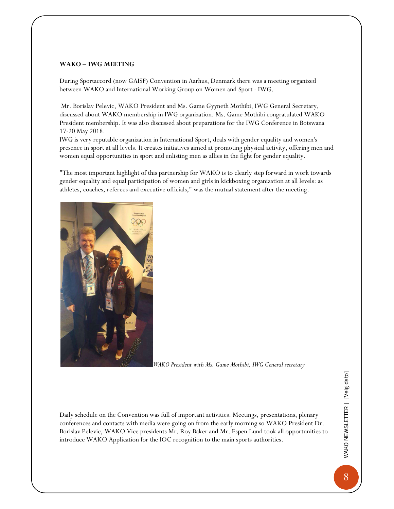#### WAKO – IWG MEETING

During Sportaccord (now GAISF) Convention in Aarhus, Denmark there was a meeting organized between WAKO and International Working Group on Women and Sport - IWG.

 Mr. Borislav Pelevic, WAKO President and Ms. Game Gyyneth Mothibi, IWG General Secretary, discussed about WAKO membership in IWG organization. Ms. Game Mothibi congratulated WAKO President membership. It was also discussed about preparations for the IWG Conference in Botswana 17-20 May 2018.

IWG is very reputable organization in International Sport, deals with gender equality and women's presence in sport at all levels. It creates initiatives aimed at promoting physical activity, offering men and women equal opportunities in sport and enlisting men as allies in the fight for gender equality.

"The most important highlight of this partnership for WAKO is to clearly step forward in work towards gender equality and equal participation of women and girls in kickboxing organization at all levels: as athletes, coaches, referees and executive officials," was the mutual statement after the meeting.



WAKO President with Ms. Game Mothibi, IWG General secretary

Daily schedule on the Convention was full of important activities. Meetings, presentations, plenary conferences and contacts with media were going on from the early morning so WAKO President Dr. Borislav Pelevic, WAKO Vice presidents Mr. Roy Baker and Mr. Espen Lund took all opportunities to introduce WAKO Application for the IOC recognition to the main sports authorities.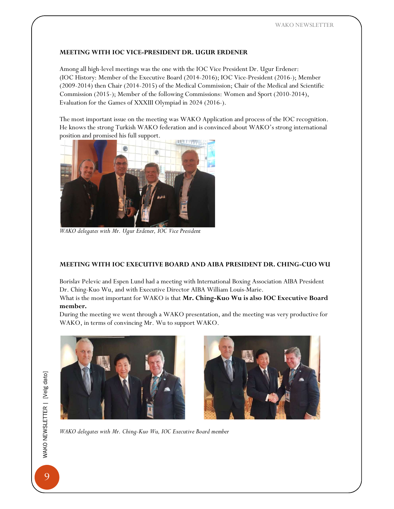#### MEETING WITH IOC VICE-PRESIDENT DR. UGUR ERDENER

Among all high-level meetings was the one with the IOC Vice President Dr. Ugur Erdener: (IOC History: Member of the Executive Board (2014-2016); IOC Vice-President (2016-); Member (2009-2014) then Chair (2014-2015) of the Medical Commission; Chair of the Medical and Scientific Commission (2015-); Member of the following Commissions: Women and Sport (2010-2014), Evaluation for the Games of XXXIII Olympiad in 2024 (2016-).

The most important issue on the meeting was WAKO Application and process of the IOC recognition. He knows the strong Turkish WAKO federation and is convinced about WAKO's strong international position and promised his full support.



WAKO delegates with Mr. Ugur Erdener, IOC Vice President

#### MEETING WITH IOC EXECUTIVE BOARD AND AIBA PRESIDENT DR. CHING-CUO WU

Borislav Pelevic and Espen Lund had a meeting with International Boxing Association AIBA President Dr. Ching-Kuo Wu, and with Executive Director AIBA William Louis-Marie.

What is the most important for WAKO is that Mr. Ching-Kuo Wu is also IOC Executive Board member.

During the meeting we went through a WAKO presentation, and the meeting was very productive for WAKO, in terms of convincing Mr. Wu to support WAKO.



WAKO delegates with Mr. Ching-Kuo Wu, IOC Executive Board member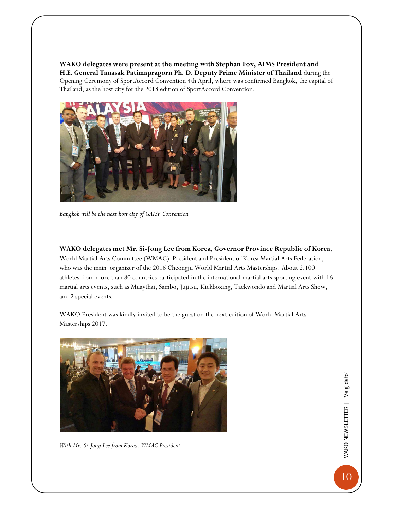WAKO delegates were present at the meeting with Stephan Fox, AIMS President and H.E. General Tanasak Patimapragorn Ph. D. Deputy Prime Minister of Thailand during the Opening Ceremony of SportAccord Convention 4th April, where was confirmed Bangkok, the capital of Thailand, as the host city for the 2018 edition of SportAccord Convention.



Bangkok will be the next host city of GAISF Convention

WAKO delegates met Mr. Si-Jong Lee from Korea, Governor Province Republic of Korea, World Martial Arts Committee (WMAC) President and President of Korea Martial Arts Federation, who was the main organizer of the 2016 Cheongju World Martial Arts Masterships. About 2,100 athletes from more than 80 countries participated in the international martial arts sporting event with 16 martial arts events, such as Muaythai, Sambo, Jujitsu, Kickboxing, Taekwondo and Martial Arts Show, and 2 special events.

WAKO President was kindly invited to be the guest on the next edition of World Martial Arts Masterships 2017.



With Mr. Si-Jong Lee from Korea, WMAC President